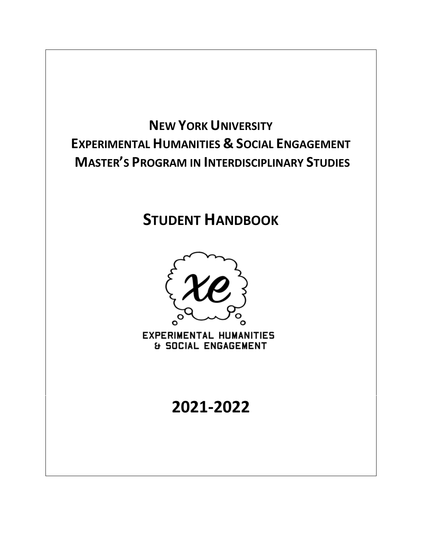

# **STUDENT HANDBOOK**



**EXPERIMENTAL HUMANITIES & SOCIAL ENGAGEMENT** 

# **2021-2022**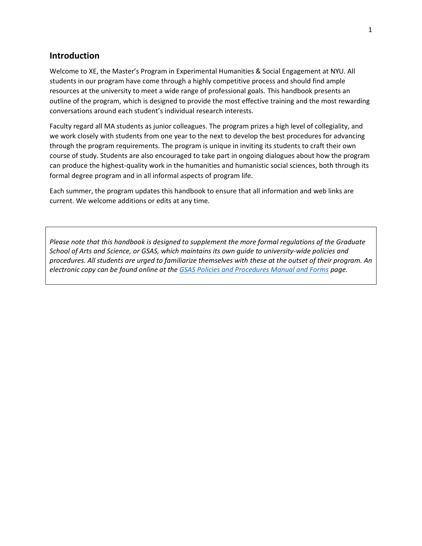#### **Introduction**

Welcome to XE, the Master's Program in Experimental Humanities & Social Engagement at NYU. All students in our program have come through a highly competitive process and should find ample resources at the university to meet a wide range of professional goals. This handbook presents an outline of the program, which is designed to provide the most effective training and the most rewarding conversations around each student's individual research interests.

Faculty regard all MA students as junior colleagues. The program prizes a high level of collegiality, and we work closely with students from one year to the next to develop the best procedures for advancing through the program requirements. The program is unique in inviting its students to craft their own course of study. Students are also encouraged to take part in ongoing dialogues about how the program can produce the highest-quality work in the humanities and humanistic social sciences, both through its formal degree program and in all informal aspects of program life.

Each summer, the program updates this handbook to ensure that all information and web links are current. We welcome additions or edits at any time.

*Please note that this handbook is designed to supplement the more formal regulations of the Graduate School of Arts and Science, or GSAS, which maintains its own guide to university-wide policies and procedures. All students are urged to familiarize themselves with these at the outset of their program. An electronic copy can be found online at the [GSAS Policies and Procedures Manual and Forms](http://gsas.nyu.edu/about-gsas/policies-and-procedures/policies-and-procedures-manual-and-forms.html) page.*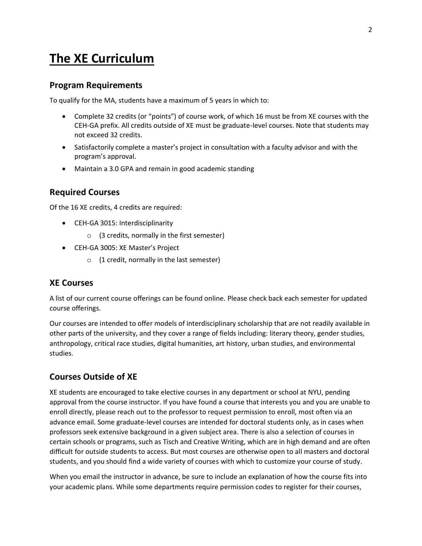## **The XE Curriculum**

#### **Program Requirements**

To qualify for the MA, students have a maximum of 5 years in which to:

- Complete 32 credits (or "points") of course work, of which 16 must be from XE courses with the CEH-GA prefix. All credits outside of XE must be graduate-level courses. Note that students may not exceed 32 credits.
- Satisfactorily complete a master's project in consultation with a faculty advisor and with the program's approval.
- Maintain a 3.0 GPA and remain in good academic standing

#### **Required Courses**

Of the 16 XE credits, 4 credits are required:

- CEH-GA 3015: Interdisciplinarity
	- o (3 credits, normally in the first semester)
- CEH-GA 3005: XE Master's Project
	- $\circ$  (1 credit, normally in the last semester)

#### **XE Courses**

A list of our current course offerings can be found online. Please check back each semester for updated course offerings.

Our courses are intended to offer models of interdisciplinary scholarship that are not readily available in other parts of the university, and they cover a range of fields including: literary theory, gender studies, anthropology, critical race studies, digital humanities, art history, urban studies, and environmental studies.

#### **Courses Outside of XE**

XE students are encouraged to take elective courses in any department or school at NYU, pending approval from the course instructor. If you have found a course that interests you and you are unable to enroll directly, please reach out to the professor to request permission to enroll, most often via an advance email. Some graduate-level courses are intended for doctoral students only, as in cases when professors seek extensive background in a given subject area. There is also a selection of courses in certain schools or programs, such as Tisch and Creative Writing, which are in high demand and are often difficult for outside students to access. But most courses are otherwise open to all masters and doctoral students, and you should find a wide variety of courses with which to customize your course of study.

When you email the instructor in advance, be sure to include an explanation of how the course fits into your academic plans. While some departments require permission codes to register for their courses,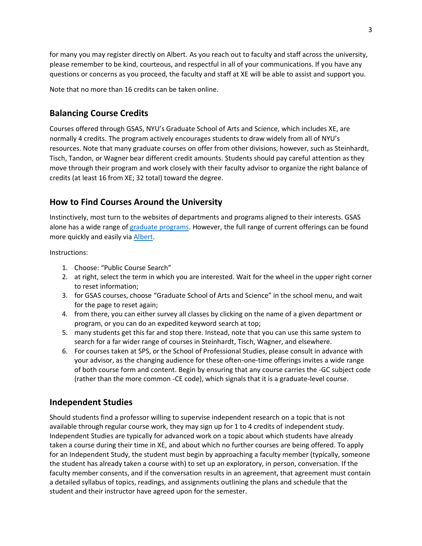for many you may register directly on Albert. As you reach out to faculty and staff across the university, please remember to be kind, courteous, and respectful in all of your communications. If you have any questions or concerns as you proceed, the faculty and staff at XE will be able to assist and support you.

Note that no more than 16 credits can be taken online.

## **Balancing Course Credits**

Courses offered through GSAS, NYU's Graduate School of Arts and Science, which includes XE, are normally 4 credits. The program actively encourages students to draw widely from all of NYU's resources. Note that many graduate courses on offer from other divisions, however, such as Steinhardt, Tisch, Tandon, or Wagner bear different credit amounts. Students should pay careful attention as they move through their program and work closely with their faculty advisor to organize the right balance of credits (at least 16 from XE; 32 total) toward the degree.

## **How to Find Courses Around the University**

Instinctively, most turn to the websites of departments and programs aligned to their interests. GSAS alone has a wide range o[f graduate programs.](http://gsas.nyu.edu/programs.html#1) However, the full range of current offerings can be found more quickly and easily via [Albert.](http://albert.nyu.edu/albert_index.html)

Instructions:

- 1. Choose: "Public Course Search"
- 2. at right, select the term in which you are interested. Wait for the wheel in the upper right corner to reset information;
- 3. for GSAS courses, choose "Graduate School of Arts and Science" in the school menu, and wait for the page to reset again;
- 4. from there, you can either survey all classes by clicking on the name of a given department or program, or you can do an expedited keyword search at top;
- 5. many students get this far and stop there. Instead, note that you can use this same system to search for a far wider range of courses in Steinhardt, Tisch, Wagner, and elsewhere.
- 6. For courses taken at SPS, or the School of Professional Studies, please consult in advance with your advisor, as the changing audience for these often-one-time offerings invites a wide range of both course form and content. Begin by ensuring that any course carries the -GC subject code (rather than the more common -CE code), which signals that it is a graduate-level course.

## **Independent Studies**

Should students find a professor willing to supervise independent research on a topic that is not available through regular course work, they may sign up for 1 to 4 credits of independent study. Independent Studies are typically for advanced work on a topic about which students have already taken a course during their time in XE, and about which no further courses are being offered. To apply for an Independent Study, the student must begin by approaching a faculty member (typically, someone the student has already taken a course with) to set up an exploratory, in person, conversation. If the faculty member consents, and if the conversation results in an agreement, that agreement must contain a detailed syllabus of topics, readings, and assignments outlining the plans and schedule that the student and their instructor have agreed upon for the semester.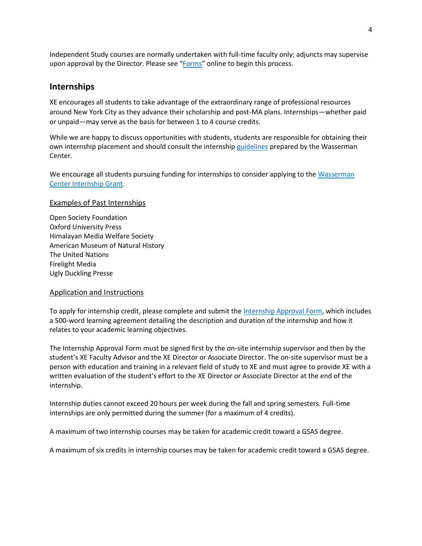Independent Study courses are normally undertaken with full-time faculty only; adjuncts may supervise upon approval by the Director. Please see "[Forms](https://as.nyu.edu/departments/xe/resources0/forms.html)" online to begin this process.

#### **Internships**

XE encourages all students to take advantage of the extraordinary range of professional resources around New York City as they advance their scholarship and post-MA plans. Internships—whether paid or unpaid—may serve as the basis for between 1 to 4 course credits.

While we are happy to discuss opportunities with students, students are responsible for obtaining their own internship placement and should consult the internship [guidelines](https://www.nyu.edu/students/student-information-and-resources/career-development-and-jobs/find-a-job-or-internship/important-considerations-before-accepting-a-job-or-internship.html) prepared by the Wasserman Center.

We encourage all students pursuing funding for internships to consider applying to the [Wasserman](https://www.nyu.edu/students/student-information-and-resources/career-development-and-jobs/find-a-job-or-internship/grants--scholarships---fellowships/wasserman-center-internship-grant.html) Center [Internship](https://www.nyu.edu/students/student-information-and-resources/career-development-and-jobs/find-a-job-or-internship/grants--scholarships---fellowships/wasserman-center-internship-grant.html) Grant.

#### Examples of Past Internships

Open Society Foundation Oxford University Press Himalayan Media Welfare Society American Museum of Natural History The United Nations Firelight Media Ugly Duckling Presse

#### Application and Instructions

To apply for internship credit, please complete and submit the [Internship Approval Form,](https://as.nyu.edu/departments/xe/resources0/forms.html) which includes a 500-word learning agreement detailing the description and duration of the internship and how it relates to your academic learning objectives.

The Internship Approval Form must be signed first by the on-site internship supervisor and then by the student's XE Faculty Advisor and the XE Director or Associate Director. The on-site supervisor must be a person with education and training in a relevant field of study to XE and must agree to provide XE with a written evaluation of the student's effort to the XE Director or Associate Director at the end of the internship.

Internship duties cannot exceed 20 hours per week during the fall and spring semesters. Full-time internships are only permitted during the summer (for a maximum of 4 credits).

A maximum of two internship courses may be taken for academic credit toward a GSAS degree.

A maximum of six credits in internship courses may be taken for academic credit toward a GSAS degree.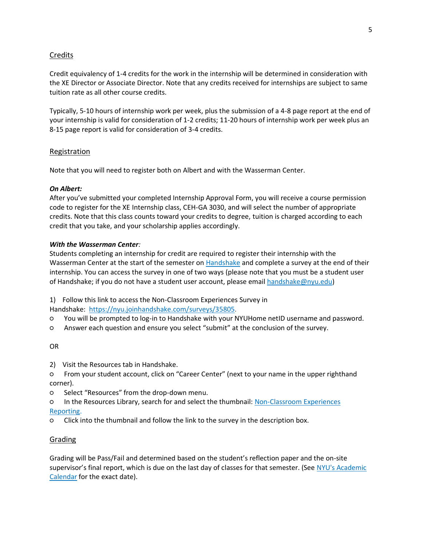#### Credits

Credit equivalency of 1-4 credits for the work in the internship will be determined in consideration with the XE Director or Associate Director. Note that any credits received for internships are subject to same tuition rate as all other course credits.

Typically, 5-10 hours of internship work per week, plus the submission of a 4-8 page report at the end of your internship is valid for consideration of 1-2 credits; 11-20 hours of internship work per week plus an 8-15 page report is valid for consideration of 3-4 credits.

#### Registration

Note that you will need to register both on Albert and with the Wasserman Center.

#### *On Albert:*

After you've submitted your completed Internship Approval Form, you will receive a course permission code to register for the XE Internship class, CEH-GA 3030, and will select the number of appropriate credits. Note that this class counts toward your credits to degree, tuition is charged according to each credit that you take, and your scholarship applies accordingly.

#### *With the Wasserman Center:*

Students completing an internship for credit are required to register their internship with the Wasserman Center at the start of the semester on [Handshake](https://nyu.joinhandshake.com/login?ref=app-domain) and complete a survey at the end of their internship. You can access the survey in one of two ways (please note that you must be a student user of Handshake; if you do not have a student user account, please email [handshake@nyu.edu\)](mailto:handshake@nyu.edu)

1) Follow this link to access the Non-Classroom Experiences Survey in

Handshake: [https://nyu.joinhandshake.com/surveys/35805.](https://nyu.joinhandshake.com/surveys/35805)

- You will be prompted to log-in to Handshake with your NYUHome netID username and password.
- Answer each question and ensure you select "submit" at the conclusion of the survey.

OR

- 2) Visit the Resources tab in Handshake.
- From your student account, click on "Career Center" (next to your name in the upper righthand corner).
- Select "Resources" from the drop-down menu.
- In the Resources Library, search for and select the thumbnail: [Non-Classroom](https://app.joinhandshake.com/articles/14039) Experiences [Reporting.](https://app.joinhandshake.com/articles/14039)
- Click into the thumbnail and follow the link to the survey in the description box.

#### **Grading**

Grading will be Pass/Fail and determined based on the student's reflection paper and the on-site supervisor's final report, which is due on the last day of classes for that semester. (See NYU's [Academic](https://www.nyu.edu/registrar/calendars/university-academic-calendar.html) [Calendar](https://www.nyu.edu/registrar/calendars/university-academic-calendar.html) for the exact date).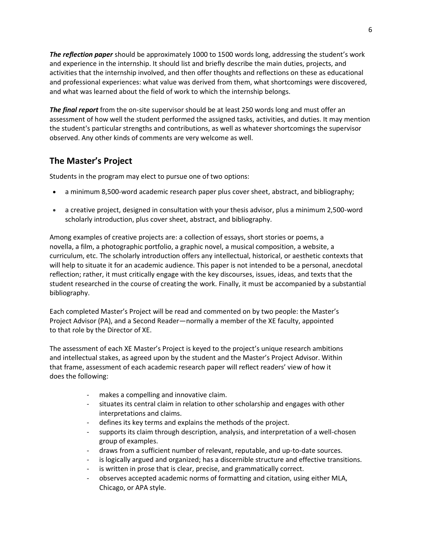*The reflection paper* should be approximately 1000 to 1500 words long, addressing the student's work and experience in the internship. It should list and briefly describe the main duties, projects, and activities that the internship involved, and then offer thoughts and reflections on these as educational and professional experiences: what value was derived from them, what shortcomings were discovered, and what was learned about the field of work to which the internship belongs.

*The final report* from the on-site supervisor should be at least 250 words long and must offer an assessment of how well the student performed the assigned tasks, activities, and duties. It may mention the student's particular strengths and contributions, as well as whatever shortcomings the supervisor observed. Any other kinds of comments are very welcome as well.

## **The Master's Project**

Students in the program may elect to pursue one of two options:

- a minimum 8,500-word academic research paper plus cover sheet, abstract, and bibliography;
- a creative project, designed in consultation with your thesis advisor, plus a minimum 2,500-word scholarly introduction, plus cover sheet, abstract, and bibliography.

Among examples of creative projects are: a collection of essays, short stories or poems, a novella, a film, a photographic portfolio, a graphic novel, a musical composition, a website, a curriculum, etc. The scholarly introduction offers any intellectual, historical, or aesthetic contexts that will help to situate it for an academic audience. This paper is not intended to be a personal, anecdotal reflection; rather, it must critically engage with the key discourses, issues, ideas, and texts that the student researched in the course of creating the work. Finally, it must be accompanied by a substantial bibliography.

Each completed Master's Project will be read and commented on by two people: the Master's Project Advisor (PA), and a Second Reader—normally a member of the XE faculty, appointed to that role by the Director of XE.

The assessment of each XE Master's Project is keyed to the project's unique research ambitions and intellectual stakes, as agreed upon by the student and the Master's Project Advisor. Within that frame, assessment of each academic research paper will reflect readers' view of how it does the following:

- makes a compelling and innovative claim.
- situates its central claim in relation to other scholarship and engages with other interpretations and claims.
- defines its key terms and explains the methods of the project.
- supports its claim through description, analysis, and interpretation of a well-chosen group of examples.
- draws from a sufficient number of relevant, reputable, and up-to-date sources.
- is logically argued and organized; has a discernible structure and effective transitions.
- is written in prose that is clear, precise, and grammatically correct.
- observes accepted academic norms of formatting and citation, using either MLA, Chicago, or APA style.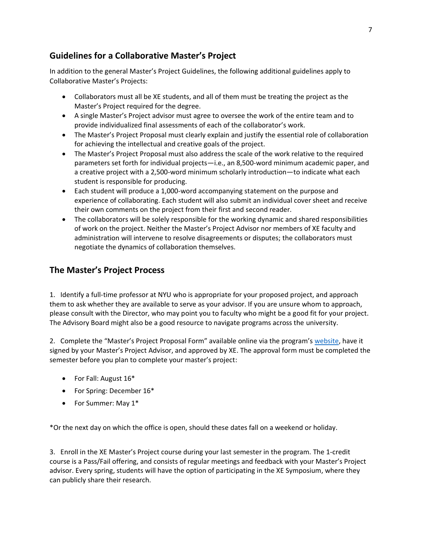## **Guidelines for a Collaborative Master's Project**

In addition to the general Master's Project Guidelines, the following additional guidelines apply to Collaborative Master's Projects:

- Collaborators must all be XE students, and all of them must be treating the project as the Master's Project required for the degree.
- A single Master's Project advisor must agree to oversee the work of the entire team and to provide individualized final assessments of each of the collaborator's work.
- The Master's Project Proposal must clearly explain and justify the essential role of collaboration for achieving the intellectual and creative goals of the project.
- The Master's Project Proposal must also address the scale of the work relative to the required parameters set forth for individual projects—i.e., an 8,500-word minimum academic paper, and a creative project with a 2,500-word minimum scholarly introduction—to indicate what each student is responsible for producing.
- Each student will produce a 1,000-word accompanying statement on the purpose and experience of collaborating. Each student will also submit an individual cover sheet and receive their own comments on the project from their first and second reader.
- The collaborators will be solely responsible for the working dynamic and shared responsibilities of work on the project. Neither the Master's Project Advisor nor members of XE faculty and administration will intervene to resolve disagreements or disputes; the collaborators must negotiate the dynamics of collaboration themselves.

## **The Master's Project Process**

1. Identify a full-time professor at NYU who is appropriate for your proposed project, and approach them to ask whether they are available to serve as your advisor. If you are unsure whom to approach, please consult with the Director, who may point you to faculty who might be a good fit for your project. The Advisory Board might also be a good resource to navigate programs across the university.

2. Complete the "Master's Project Proposal Form" available online via the program's [website,](https://as.nyu.edu/departments/xe/resources0/forms.html) have it signed by your Master's Project Advisor, and approved by XE. The approval form must be completed the semester before you plan to complete your master's project:

- For Fall: August 16\*
- For Spring: December 16\*
- For Summer: May 1\*

\*Or the next day on which the office is open, should these dates fall on a weekend or holiday.

3. Enroll in the XE Master's Project course during your last semester in the program. The 1-credit course is a Pass/Fail offering, and consists of regular meetings and feedback with your Master's Project advisor. Every spring, students will have the option of participating in the XE Symposium, where they can publicly share their research.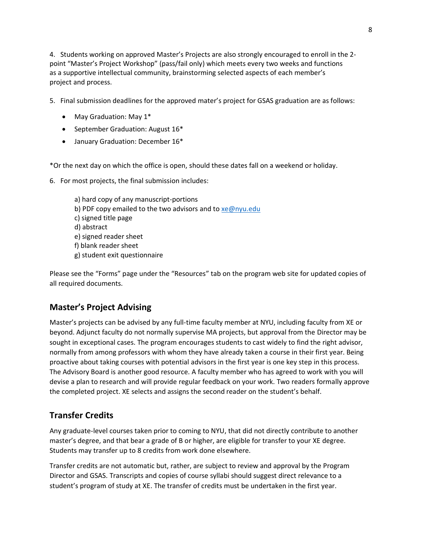4. Students working on approved Master's Projects are also strongly encouraged to enroll in the 2 point "Master's Project Workshop" (pass/fail only) which meets every two weeks and functions as a supportive intellectual community, brainstorming selected aspects of each member's project and process.

5. Final submission deadlines for the approved mater's project for GSAS graduation are as follows:

- May Graduation: May 1\*
- September Graduation: August 16\*
- January Graduation: December 16\*

\*Or the next day on which the office is open, should these dates fall on a weekend or holiday.

6. For most projects, the final submission includes:

a) hard copy of any manuscript-portions b) PDF copy emailed to the two advisors and to [xe@nyu.edu](mailto:xe@nyu.edu) c) signed title page d) abstract e) signed reader sheet f) blank reader sheet g) student exit questionnaire

Please see the "Forms" page under the "Resources" tab on the program web site for updated copies of all required documents.

## **Master's Project Advising**

Master's projects can be advised by any full-time faculty member at NYU, including faculty from XE or beyond. Adjunct faculty do not normally supervise MA projects, but approval from the Director may be sought in exceptional cases. The program encourages students to cast widely to find the right advisor, normally from among professors with whom they have already taken a course in their first year. Being proactive about taking courses with potential advisors in the first year is one key step in this process. The Advisory Board is another good resource. A faculty member who has agreed to work with you will devise a plan to research and will provide regular feedback on your work. Two readers formally approve the completed project. XE selects and assigns the second reader on the student's behalf.

## **Transfer Credits**

Any graduate-level courses taken prior to coming to NYU, that did not directly contribute to another master's degree, and that bear a grade of B or higher, are eligible for transfer to your XE degree. Students may transfer up to 8 credits from work done elsewhere.

Transfer credits are not automatic but, rather, are subject to review and approval by the Program Director and GSAS. Transcripts and copies of course syllabi should suggest direct relevance to a student's program of study at XE. The transfer of credits must be undertaken in the first year.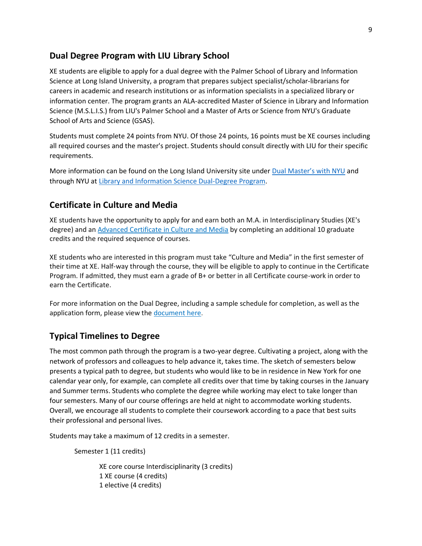#### **Dual Degree Program with LIU Library School**

XE students are eligible to apply for a dual degree with the Palmer School of Library and Information Science at Long Island University, a program that prepares subject specialist/scholar-librarians for careers in academic and research institutions or as information specialists in a specialized library or information center. The program grants an ALA-accredited Master of Science in Library and Information Science (M.S.L.I.S.) from LIU's Palmer School and a Master of Arts or Science from NYU's Graduate School of Arts and Science (GSAS).

Students must complete 24 points from NYU. Of those 24 points, 16 points must be XE courses including all required courses and the master's project. Students should consult directly with LIU for their specific requirements.

More information can be found on the Long Island University site under [Dual Master's with NYU](http://liu.edu/Post/Academics/~/link.aspx?_id=443C12E7AF464E9B848C60FB9C57CAB2&_z=z) and through NYU at [Library and Information Science Dual-Degree](https://gsas.nyu.edu/content/nyu-as/gsas/programs/library-and-information-science.html) Program.

#### **Certificate in Culture and Media**

XE students have the opportunity to apply for and earn both an M.A. in Interdisciplinary Studies (XE's degree) and an Advanced [Certificate](https://as.nyu.edu/anthropology/graduate/program-in-culture-and-media.html) in Culture and Media by completing an additional 10 graduate credits and the required sequence of courses.

XE students who are interested in this program must take "Culture and Media" in the first semester of their time at XE. Half-way through the course, they will be eligible to apply to continue in the Certificate Program. If admitted, they must earn a grade of B+ or better in all Certificate course-work in order to earn the Certificate.

For more information on the Dual Degree, including a sample schedule for completion, as well as the application form, please view the [document](https://as.nyu.edu/content/dam/nyu-as/ceh/documents/XE%20Dual%20Degree%20in%20Culture%20and%20Media.pdf) here.

#### **Typical Timelines to Degree**

The most common path through the program is a two-year degree. Cultivating a project, along with the network of professors and colleagues to help advance it, takes time. The sketch of semesters below presents a typical path to degree, but students who would like to be in residence in New York for one calendar year only, for example, can complete all credits over that time by taking courses in the January and Summer terms. Students who complete the degree while working may elect to take longer than four semesters. Many of our course offerings are held at night to accommodate working students. Overall, we encourage all students to complete their coursework according to a pace that best suits their professional and personal lives.

Students may take a maximum of 12 credits in a semester.

Semester 1 (11 credits)

XE core course Interdisciplinarity (3 credits) 1 XE course (4 credits) 1 elective (4 credits)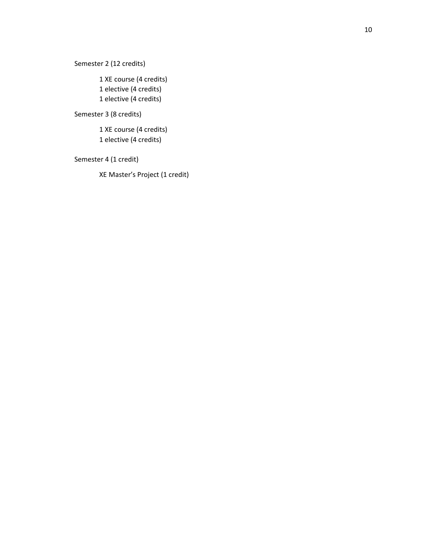Semester 2 (12 credits)

1 XE course (4 credits) 1 elective (4 credits) 1 elective (4 credits)

Semester 3 ( 8 credits)

1 XE course (4 credits) 1 elective (4 credits)

Semester 4 ( 1 credit)

XE Master's Project ( 1 credit)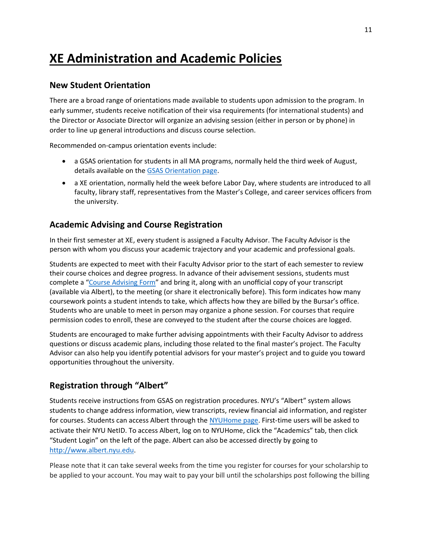## **XE Administration and Academic Policies**

#### **New Student Orientation**

There are a broad range of orientations made available to students upon admission to the program. In early summer, students receive notification of their visa requirements (for international students) and the Director or Associate Director will organize an advising session (either in person or by phone) in order to line up general introductions and discuss course selection.

Recommended on-campus orientation events include:

- a GSAS orientation for students in all MA programs, normally held the third week of August, details available on th[e GSAS Orientation page.](https://gsas.nyu.edu/content/nyu-as/gsas/student-life/gsas-orientation.html)
- a XE orientation, normally held the week before Labor Day, where students are introduced to all faculty, library staff, representatives from the Master's College, and career services officers from the university.

### **Academic Advising and Course Registration**

In their first semester at XE, every student is assigned a Faculty Advisor. The Faculty Advisor is the person with whom you discuss your academic trajectory and your academic and professional goals.

Students are expected to meet with their Faculty Advisor prior to the start of each semester to review their course choices and degree progress. In advance of their advisement sessions, students must complete a "[Course Advising Form](https://as.nyu.edu/content/dam/nyu-as/ceh/documents/Course%20Advising%20Form%209.25.20.pdf)" and bring it, along with an unofficial copy of your transcript (available via Albert), to the meeting (or share it electronically before). This form indicates how many coursework points a student intends to take, which affects how they are billed by the Bursar's office. Students who are unable to meet in person may organize a phone session. For courses that require permission codes to enroll, these are conveyed to the student after the course choices are logged.

Students are encouraged to make further advising appointments with their Faculty Advisor to address questions or discuss academic plans, including those related to the final master's project. The Faculty Advisor can also help you identify potential advisors for your master's project and to guide you toward opportunities throughout the university.

## **Registration through "Albert"**

Students receive instructions from GSAS on registration procedures. NYU's "Albert" system allows students to change address information, view transcripts, review financial aid information, and register for courses. Students can access Albert through the [NYUHome page.](https://globalhome.nyu.edu/group/nyu-home/) First-time users will be asked to activate their NYU NetID. To access Albert, log on to NYUHome, click the "Academics" tab, then click "Student Login" on the left of the page. Albert can also be accessed directly by going to [http://www.albert.nyu.edu.](http://www.albert.nyu.edu/)

Please note that it can take several weeks from the time you register for courses for your scholarship to be applied to your account. You may wait to pay your bill until the scholarships post following the billing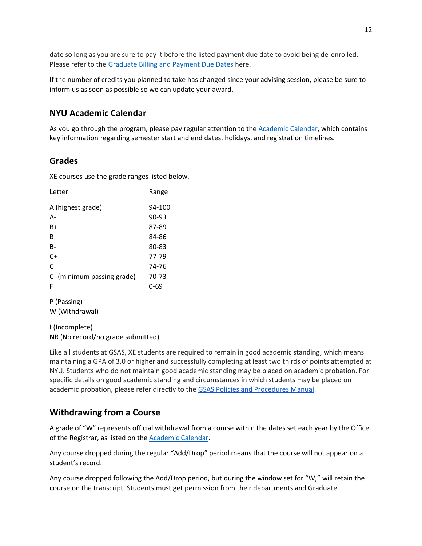date so long as you are sure to pay it before the listed payment due date to avoid being de-enrolled. Please refer to the [Graduate Billing and Payment Due Dates](https://www.nyu.edu/students/student-information-and-resources/bills-payments-and-refunds/billing-and-payment-due-dates/graduate.html) here.

If the number of credits you planned to take has changed since your advising session, please be sure to inform us as soon as possible so we can update your award.

## **NYU Academic Calendar**

As you go through the program, please pay regular attention to the [Academic Calendar,](https://www.nyu.edu/registrar/calendars/university-academic-calendar.html) which contains key information regarding semester start and end dates, holidays, and registration timelines.

### **Grades**

XE courses use the grade ranges listed below.

| Letter                     | Range     |
|----------------------------|-----------|
| A (highest grade)          | 94-100    |
| А-                         | $90 - 93$ |
| B+                         | 87-89     |
| B                          | 84-86     |
| B-                         | 80-83     |
| C+                         | 77-79     |
| C                          | 74-76     |
| C- (minimum passing grade) | 70-73     |
| F                          | $0 - 69$  |
|                            |           |

P (Passing) W (Withdrawal)

I (Incomplete) NR (No record/no grade submitted)

Like all students at GSAS, XE students are required to remain in good academic standing, which means maintaining a GPA of 3.0 or higher and successfully completing at least two thirds of points attempted at NYU. Students who do not maintain good academic standing may be placed on academic probation. For specific details on good academic standing and circumstances in which students may be placed on academic probation, please refer directly to the [GSAS Policies and Procedures Manual.](https://gsas.nyu.edu/content/dam/nyu-as/gsas/documents/policies-and-procedures-and-forms/PP%20Manual%20Final%202021.pdf)

## **Withdrawing from a Course**

A grade of "W" represents official withdrawal from a course within the dates set each year by the Office of the Registrar, as listed on th[e Academic Calendar.](https://www.nyu.edu/registrar/calendars/university-academic-calendar.html)

Any course dropped during the regular "Add/Drop" period means that the course will not appear on a student's record.

Any course dropped following the Add/Drop period, but during the window set for "W," will retain the course on the transcript. Students must get permission from their departments and Graduate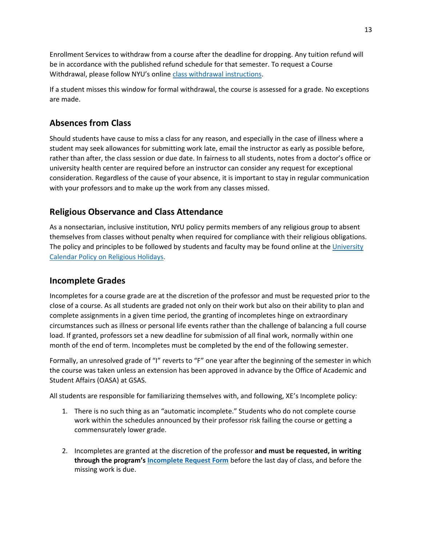Enrollment Services to withdraw from a course after the deadline for dropping. Any tuition refund will be in accordance with the published refund schedule for that semester. To request a Course Withdrawal, please follow NYU's online [class withdrawal instructions.](https://www.nyu.edu/students/student-information-and-resources/registration-records-and-graduation/registration/registering-on-albert/request_class_withdrawal.html)

If a student misses this window for formal withdrawal, the course is assessed for a grade. No exceptions are made.

## **Absences from Class**

Should students have cause to miss a class for any reason, and especially in the case of illness where a student may seek allowances for submitting work late, email the instructor as early as possible before, rather than after, the class session or due date. In fairness to all students, notes from a doctor's office or university health center are required before an instructor can consider any request for exceptional consideration. Regardless of the cause of your absence, it is important to stay in regular communication with your professors and to make up the work from any classes missed.

## **Religious Observance and Class Attendance**

As a nonsectarian, inclusive institution, NYU policy permits members of any religious group to absent themselves from classes without penalty when required for compliance with their religious obligations. The policy and principles to be followed by students and faculty may be found online at the [University](https://www.nyu.edu/about/policies-guidelines-compliance/policies-and-guidelines/university-calendar-policy-on-religious-holidays.html)  [Calendar Policy on Religious Holidays.](https://www.nyu.edu/about/policies-guidelines-compliance/policies-and-guidelines/university-calendar-policy-on-religious-holidays.html)

## **Incomplete Grades**

Incompletes for a course grade are at the discretion of the professor and must be requested prior to the close of a course. As all students are graded not only on their work but also on their ability to plan and complete assignments in a given time period, the granting of incompletes hinge on extraordinary circumstances such as illness or personal life events rather than the challenge of balancing a full course load. If granted, professors set a new deadline for submission of all final work, normally within one month of the end of term. Incompletes must be completed by the end of the following semester.

Formally, an unresolved grade of "I" reverts to "F" one year after the beginning of the semester in which the course was taken unless an extension has been approved in advance by the Office of Academic and Student Affairs (OASA) at GSAS.

All students are responsible for familiarizing themselves with, and following, XE's Incomplete policy:

- 1. There is no such thing as an "automatic incomplete." Students who do not complete course work within the schedules announced by their professor risk failing the course or getting a commensurately lower grade.
- 2. Incompletes are granted at the discretion of the professor **and must be requested, in writing through the program's [Incomplete Request Form](https://as.nyu.edu/departments/xe/resources0/forms.html)** before the last day of class, and before the missing work is due.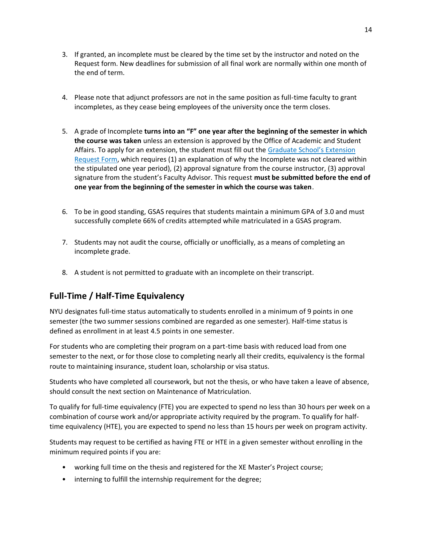- 3. If granted, an incomplete must be cleared by the time set by the instructor and noted on the Request form. New deadlines for submission of all final work are normally within one month of the end of term.
- 4. Please note that adjunct professors are not in the same position as full-time faculty to grant incompletes, as they cease being employees of the university once the term closes.
- 5. A grade of Incomplete **turns into an "F" one year after the beginning of the semester in which the course was taken** unless an extension is approved by the Office of Academic and Student Affairs. To apply for an extension, the student must fill out the [Graduate School's Extension](https://gsas.nyu.edu/content/dam/nyu-as/gsas/documents/policies-and-procedures-and-forms/writeable_extension_of_incomplete.pdf)  [Request Form,](https://gsas.nyu.edu/content/dam/nyu-as/gsas/documents/policies-and-procedures-and-forms/writeable_extension_of_incomplete.pdf) which requires (1) an explanation of why the Incomplete was not cleared within the stipulated one year period), (2) approval signature from the course instructor, (3) approval signature from the student's Faculty Advisor. This request **must be submitted before the end of one year from the beginning of the semester in which the course was taken**.
- 6. To be in good standing, GSAS requires that students maintain a minimum GPA of 3.0 and must successfully complete 66% of credits attempted while matriculated in a GSAS program.
- 7. Students may not audit the course, officially or unofficially, as a means of completing an incomplete grade.
- 8. A student is not permitted to graduate with an incomplete on their transcript.

## **Full-Time / Half-Time Equivalency**

NYU designates full-time status automatically to students enrolled in a minimum of 9 points in one semester (the two summer sessions combined are regarded as one semester). Half-time status is defined as enrollment in at least 4.5 points in one semester.

For students who are completing their program on a part-time basis with reduced load from one semester to the next, or for those close to completing nearly all their credits, equivalency is the formal route to maintaining insurance, student loan, scholarship or visa status.

Students who have completed all coursework, but not the thesis, or who have taken a leave of absence, should consult the next section on Maintenance of Matriculation.

To qualify for full-time equivalency (FTE) you are expected to spend no less than 30 hours per week on a combination of course work and/or appropriate activity required by the program. To qualify for halftime equivalency (HTE), you are expected to spend no less than 15 hours per week on program activity.

Students may request to be certified as having FTE or HTE in a given semester without enrolling in the minimum required points if you are:

- working full time on the thesis and registered for the XE Master's Project course;
- interning to fulfill the internship requirement for the degree;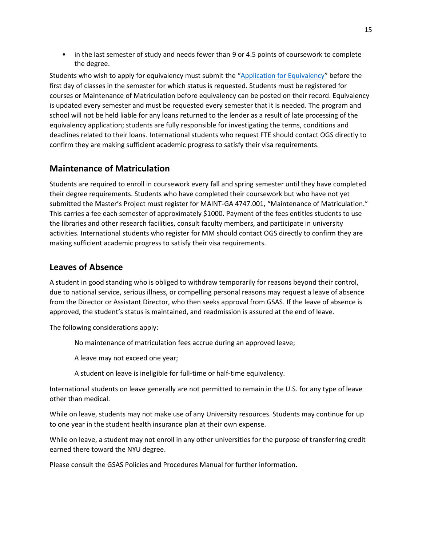• in the last semester of study and needs fewer than 9 or 4.5 points of coursework to complete the degree.

Students who wish to apply for equivalency must submit the "[Application for Equivalency](https://as.nyu.edu/departments/xe/resources0/forms.html)" before the first day of classes in the semester for which status is requested. Students must be registered for courses or Maintenance of Matriculation before equivalency can be posted on their record. Equivalency is updated every semester and must be requested every semester that it is needed. The program and school will not be held liable for any loans returned to the lender as a result of late processing of the equivalency application; students are fully responsible for investigating the terms, conditions and deadlines related to their loans. International students who request FTE should contact OGS directly to confirm they are making sufficient academic progress to satisfy their visa requirements.

## **Maintenance of Matriculation**

Students are required to enroll in coursework every fall and spring semester until they have completed their degree requirements. Students who have completed their coursework but who have not yet submitted the Master's Project must register for MAINT-GA 4747.001, "Maintenance of Matriculation." This carries a fee each semester of approximately \$1000. Payment of the fees entitles students to use the libraries and other research facilities, consult faculty members, and participate in university activities. International students who register for MM should contact OGS directly to confirm they are making sufficient academic progress to satisfy their visa requirements.

## **Leaves of Absence**

A student in good standing who is obliged to withdraw temporarily for reasons beyond their control, due to national service, serious illness, or compelling personal reasons may request a leave of absence from the Director or Assistant Director, who then seeks approval from GSAS. If the leave of absence is approved, the student's status is maintained, and readmission is assured at the end of leave.

The following considerations apply:

No maintenance of matriculation fees accrue during an approved leave;

A leave may not exceed one year;

A student on leave is ineligible for full-time or half-time equivalency.

International students on leave generally are not permitted to remain in the U.S. for any type of leave other than medical.

While on leave, students may not make use of any University resources. Students may continue for up to one year in the student health insurance plan at their own expense.

While on leave, a student may not enroll in any other universities for the purpose of transferring credit earned there toward the NYU degree.

Please consult the GSAS Policies and Procedures Manual for further information.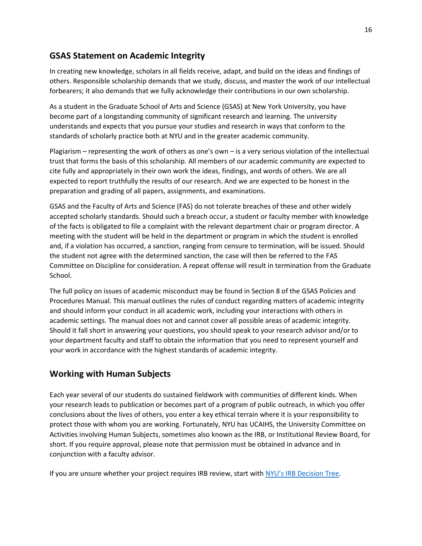## **GSAS Statement on Academic Integrity**

In creating new knowledge, scholars in all fields receive, adapt, and build on the ideas and findings of others. Responsible scholarship demands that we study, discuss, and master the work of our intellectual forbearers; it also demands that we fully acknowledge their contributions in our own scholarship.

As a student in the Graduate School of Arts and Science (GSAS) at New York University, you have become part of a longstanding community of significant research and learning. The university understands and expects that you pursue your studies and research in ways that conform to the standards of scholarly practice both at NYU and in the greater academic community.

Plagiarism – representing the work of others as one's own – is a very serious violation of the intellectual trust that forms the basis of this scholarship. All members of our academic community are expected to cite fully and appropriately in their own work the ideas, findings, and words of others. We are all expected to report truthfully the results of our research. And we are expected to be honest in the preparation and grading of all papers, assignments, and examinations.

GSAS and the Faculty of Arts and Science (FAS) do not tolerate breaches of these and other widely accepted scholarly standards. Should such a breach occur, a student or faculty member with knowledge of the facts is obligated to file a complaint with the relevant department chair or program director. A meeting with the student will be held in the department or program in which the student is enrolled and, if a violation has occurred, a sanction, ranging from censure to termination, will be issued. Should the student not agree with the determined sanction, the case will then be referred to the FAS Committee on Discipline for consideration. A repeat offense will result in termination from the Graduate School.

The full policy on issues of academic misconduct may be found in Section 8 of the GSAS Policies and Procedures Manual. This manual outlines the rules of conduct regarding matters of academic integrity and should inform your conduct in all academic work, including your interactions with others in academic settings. The manual does not and cannot cover all possible areas of academic integrity. Should it fall short in answering your questions, you should speak to your research advisor and/or to your department faculty and staff to obtain the information that you need to represent yourself and your work in accordance with the highest standards of academic integrity.

## **Working with Human Subjects**

Each year several of our students do sustained fieldwork with communities of different kinds. When your research leads to publication or becomes part of a program of public outreach, in which you offer conclusions about the lives of others, you enter a key ethical terrain where it is your responsibility to protect those with whom you are working. Fortunately, NYU has UCAIHS, the University Committee on Activities involving Human Subjects, sometimes also known as the IRB, or Institutional Review Board, for short. If you require approval, please note that permission must be obtained in advance and in conjunction with a faculty advisor.

If you are unsure whether your project requires IRB review, start with [NYU's IRB Decision Tree](https://www.nyu.edu/content/dam/nyu/research/documents/IRB/IRBDecisionTree.pdf).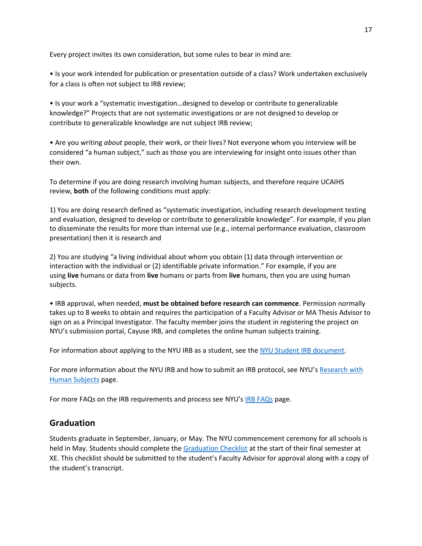Every project invites its own consideration, but some rules to bear in mind are:

• Is your work intended for publication or presentation outside of a class? Work undertaken exclusively for a class is often not subject to IRB review;

• Is your work a "systematic investigation…designed to develop or contribute to generalizable knowledge?" Projects that are not systematic investigations or are not designed to develop or contribute to generalizable knowledge are not subject IRB review;

• Are you writing *about* people, their work, or their lives? Not everyone whom you interview will be considered "a human subject," such as those you are interviewing for insight onto issues other than their own.

To determine if you are doing research involving human subjects, and therefore require UCAIHS review, **both** of the following conditions must apply:

1) You are doing research defined as "systematic investigation, including research development testing and evaluation, designed to develop or contribute to generalizable knowledge". For example, if you plan to disseminate the results for more than internal use (e.g., internal performance evaluation, classroom presentation) then it is research and

2) You are studying "a living individual about whom you obtain (1) data through intervention or interaction with the individual or (2) identifiable private information." For example, if you are using **live** humans or data from **live** humans or parts from **live** humans, then you are using human subjects.

• IRB approval, when needed, **must be obtained before research can commence**. Permission normally takes up to 8 weeks to obtain and requires the participation of a Faculty Advisor or MA Thesis Advisor to sign on as a Principal Investigator. The faculty member joins the student in registering the project on NYU's submission portal, Cayuse IRB, and completes the online human subjects training.

For information about applying to the NYU IRB as a student, see the [NYU Student IRB document.](https://www.nyu.edu/content/dam/nyu/research/documents/IRB/IRBforNYUstudents.pdf)

For more information about the NYU IRB and how to submit an IRB protocol, see NYU's Research with [Human Subjects](https://www.nyu.edu/research/resources-and-support-offices/getting-started-withyourresearch/human-subjects-research.html) page.

For more FAQs on the IRB requirements and process see NYU's **[IRB FAQs](https://www.nyu.edu/research/resources-and-support-offices/getting-started-withyourresearch/human-subjects-research/faqs/faqs.html)** page.

## **Graduation**

Students graduate in September, January, or May. The NYU commencement ceremony for all schools is held in May. Students should complete the [Graduation Checklist](https://as.nyu.edu/content/dam/nyu-as/ceh/documents/Graduation%20Checklist.pdf) at the start of their final semester at XE. This checklist should be submitted to the student's Faculty Advisor for approval along with a copy of the student's transcript.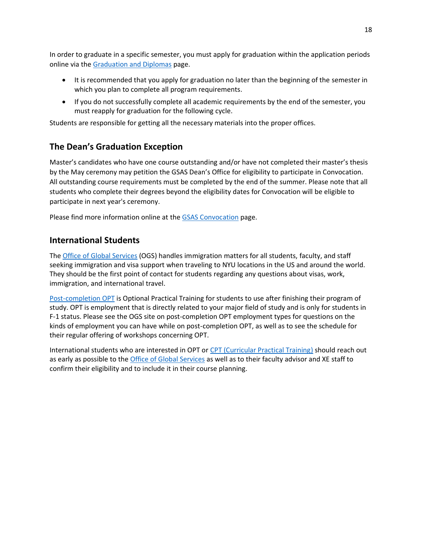In order to graduate in a specific semester, you must apply for graduation within the application periods online via the [Graduation and Diplomas](https://www.nyu.edu/students/student-information-and-resources/registration-records-and-graduation/graduation-and-diplomas.html) page.

- It is recommended that you apply for graduation no later than the beginning of the semester in which you plan to complete all program requirements.
- If you do not successfully complete all academic requirements by the end of the semester, you must reapply for graduation for the following cycle.

Students are responsible for getting all the necessary materials into the proper offices.

## **The Dean's Graduation Exception**

Master's candidates who have one course outstanding and/or have not completed their master's thesis by the May ceremony may petition the GSAS Dean's Office for eligibility to participate in Convocation. All outstanding course requirements must be completed by the end of the summer. Please note that all students who complete their degrees beyond the eligibility dates for Convocation will be eligible to participate in next year's ceremony.

Please find more information online at the **GSAS** Convocation page.

## **International Students**

The [Office of Global Services](https://www.nyu.edu/students/student-information-and-resources/student-visa-and-immigration.html) (OGS) handles immigration matters for all students, faculty, and staff seeking immigration and visa support when traveling to NYU locations in the US and around the world. They should be the first point of contact for students regarding any questions about visas, work, immigration, and international travel.

[Post-completion OPT](https://www.nyu.edu/students/student-information-and-resources/student-visa-and-immigration/current-students/employment-and-tax/optional-practical-training/PostCompletionOPT.html) is Optional Practical Training for students to use after finishing their program of study. OPT is employment that is directly related to your major field of study and is only for students in F-1 status. Please see the OGS site on post-completion OPT employment types for questions on the kinds of employment you can have while on post-completion OPT, as well as to see the schedule for their regular offering of workshops concerning OPT.

International students who are interested in OPT or [CPT \(Curricular Practical Training\)](https://www.nyu.edu/students/student-information-and-resources/student-visa-and-immigration/current-students/employment-and-tax/curricular-practical-training.html) should reach out as early as possible to the *[Office of Global Services](https://www.nyu.edu/students/student-information-and-resources/student-visa-and-immigration.html)* as well as to their faculty advisor and XE staff to confirm their eligibility and to include it in their course planning.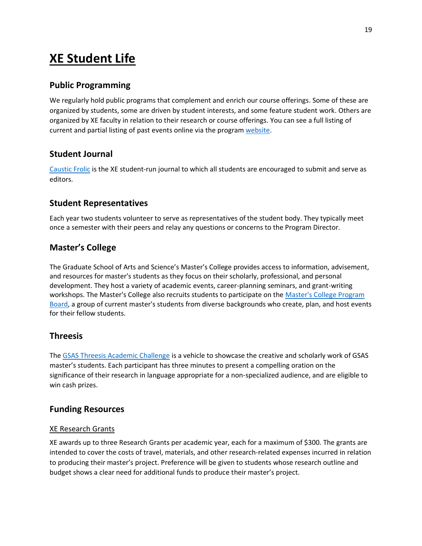## **XE Student Life**

## **Public Programming**

We regularly hold public programs that complement and enrich our course offerings. Some of these are organized by students, some are driven by student interests, and some feature student work. Others are organized by XE faculty in relation to their research or course offerings. You can see a full listing of current and partial listing of past events online via the progra[m website.](https://as.nyu.edu/departments/xe.html)

## **Student Journal**

[Caustic Frolic](http://causticfrolic.org/) is the XE student-run journal to which all students are encouraged to submit and serve as editors.

### **Student Representatives**

Each year two students volunteer to serve as representatives of the student body. They typically meet once a semester with their peers and relay any questions or concerns to the Program Director.

## **Master's College**

The Graduate School of Arts and Science's Master's College provides access to information, advisement, and resources for master's students as they focus on their scholarly, professional, and personal development. They host a variety of academic events, career-planning seminars, and grant-writing workshops. The Master's College also recruits students to participate on the [Master's College Program](http://gsas.nyu.edu/student-life/the-masters-college/gsas-masters-college-program-board.html)  [Board,](http://gsas.nyu.edu/student-life/the-masters-college/gsas-masters-college-program-board.html) a group of current master's students from diverse backgrounds who create, plan, and host events for their fellow students.

### **Threesis**

The [GSAS Threesis Academic Challenge](http://gsas.nyu.edu/student-life/the-masters-college/the-gsas-threesis-academic-challenge.html) is a vehicle to showcase the creative and scholarly work of GSAS master's students. Each participant has three minutes to present a compelling oration on the significance of their research in language appropriate for a non-specialized audience, and are eligible to win cash prizes.

### **Funding Resources**

#### XE Research Grants

XE awards up to three Research Grants per academic year, each for a maximum of \$300. The grants are intended to cover the costs of travel, materials, and other research-related expenses incurred in relation to producing their master's project. Preference will be given to students whose research outline and budget shows a clear need for additional funds to produce their master's project.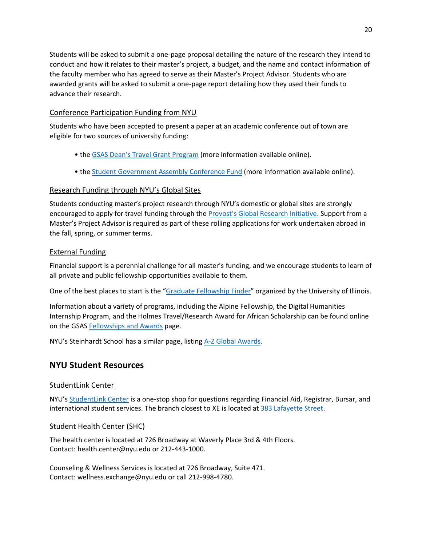Students will be asked to submit a one-page proposal detailing the nature of the research they intend to conduct and how it relates to their master's project, a budget, and the name and contact information of the faculty member who has agreed to serve as their Master's Project Advisor. Students who are awarded grants will be asked to submit a one-page report detailing how they used their funds to advance their research.

#### Conference Participation Funding from NYU

Students who have been accepted to present a paper at an academic conference out of town are eligible for two sources of university funding:

- the [GSAS Dean's Travel](http://gsas.nyu.edu/financial-support/fellowships/dean-student-travel-grant-program.html) Grant Program (more information available online).
- th[e Student Government Assembly](https://www.nyu.edu/about/leadership-university-administration/university-senate/membership/councils/student-government-assembly/conference-funding.html) Conference Fund (more information available online).

## Research Funding through NYU's Global Sites

Students conducting master's project research through NYU's domestic or global sites are strongly encouraged to apply for travel funding through the [Provost's Global Research Initiative](https://www.nyu.edu/research/provosts-global-research-initiatives.html). Support from a Master's Project Advisor is required as part of these rolling applications for work undertaken abroad in the fall, spring, or summer terms.

### External Funding

Financial support is a perennial challenge for all master's funding, and we encourage students to learn of all private and public fellowship opportunities available to them.

One of the best places to start is the "[Graduate Fellowship Finder](https://app.grad.illinois.edu/fellowship-finder/)" organized by the University of Illinois.

Information about a variety of programs, including the Alpine Fellowship, the Digital Humanities Internship Program, and the Holmes Travel/Research Award for African Scholarship can be found online on the GSAS [Fellowships and Awards](http://gsas.nyu.edu/financial-support/fellowships.html) page.

NYU's Steinhardt School has a similar page, listing [A-Z Global Awards.](https://www.nyu.edu/academics/awards-and-highlights/global-awards/scholarships.html)

## **NYU Student Resources**

### StudentLink Center

NYU's [StudentLink Center](https://www.nyu.edu/students/student-information-and-resources/student-centers-and-spaces/studentlink-center.html) is a one-stop shop for questions regarding Financial Aid, Registrar, Bursar, and international student services. The branch closest to XE is located at [383 Lafayette Street.](https://www.google.com/search?q=383+lafayette+st&rlz=1C1GCEA_enUS766US766&oq=383+lafayette&aqs=chrome.1.69i57j0l5.4638j0j7&sourceid=chrome&ie=UTF-8)

### Student Health Center (SHC)

The health center is located at 726 Broadway at Waverly Place 3rd & 4th Floors. Contact: health.center@nyu.edu or 212-443-1000.

Counseling & Wellness Services is located at 726 Broadway, Suite 471. Contact: wellness.exchange@nyu.edu or call 212-998-4780.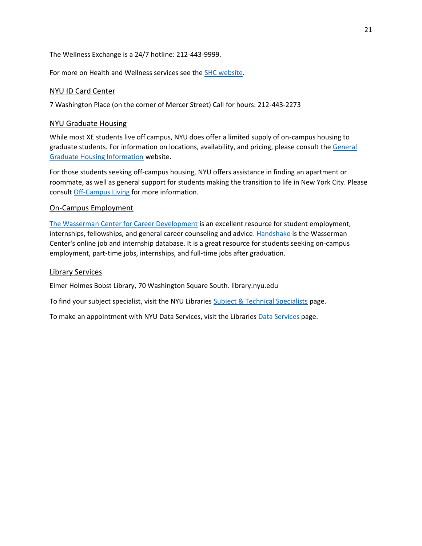The Wellness Exchange is a 24/7 hotline: 212-443-9999.

For more on Health and Wellness services see the [SHC website.](https://www.nyu.edu/students/health-and-wellness/student-health-center.html)

#### NYU ID Card Center

7 Washington Place (on the corner of Mercer Street) Call for hours: 212-443-2273

#### NYU Graduate Housing

While most XE students live off campus, NYU does offer a limited supply of on-campus housing to graduate students. For information on locations, availability, and pricing, please consult the [General](https://gsas.nyu.edu/content/nyu-as/gsas/admissions/financial-aid/general-graduate-housing-information.html#oncampus)  [Graduate Housing Information](https://gsas.nyu.edu/content/nyu-as/gsas/admissions/financial-aid/general-graduate-housing-information.html#oncampus) website.

For those students seeking off-campus housing, NYU offers assistance in finding an apartment or roommate, as well as general support for students making the transition to life in New York City. Please consult [Off-Campus Living](https://www.nyu.edu/students/student-information-and-resources/housing-and-dining/off-campus-living.html) for more information.

#### On-Campus Employment

[The Wasserman Center for Career Development](https://www.nyu.edu/about/leadership-university-administration/office-of-the-president/office-of-the-provost/university-life/office-of-studentaffairs/wasserman-center-for-career-development.html) is an excellent resource for student employment, internships, fellowships, and general career counseling and advice. [Handshake](https://www.nyu.edu/students/student-information-and-resources/career-development-and-jobs/find-a-job-or-internship/nyu-careernet-info.html) is the Wasserman Center's online job and internship database. It is a great resource for students seeking on-campus employment, part-time jobs, internships, and full-time jobs after graduation.

#### Library Services

Elmer Holmes Bobst Library, 70 Washington Square South. library.nyu.edu

To find your subject specialist, visit the NYU Libraries [Subject & Technical Specialists](https://library.nyu.edu/subject-specialists/) page.

To make an appointment with NYU Data Services, visit the Libraries [Data Services](https://library.nyu.edu/departments/data-services/) page.